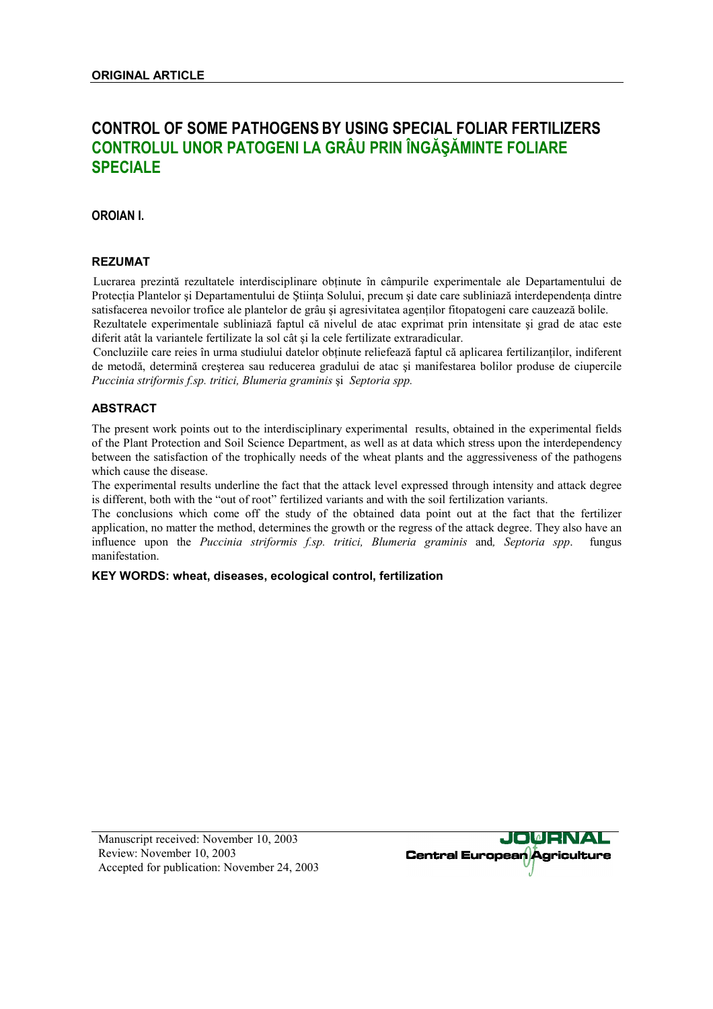# **CONTROL OF SOME PATHOGENS BY USING SPECIAL FOLIAR FERTILIZERS CONTROLUL UNOR PATOGENI LA GRÂU PRIN ÎNGĂŞĂMINTE FOLIARE SPECIALE**

# **OROIAN I.**

#### **REZUMAT**

Lucrarea prezintă rezultatele interdisciplinare obţinute în câmpurile experimentale ale Departamentului de Protecţia Plantelor şi Departamentului de Ştiinţa Solului, precum şi date care subliniază interdependenţa dintre satisfacerea nevoilor trofice ale plantelor de grâu și agresivitatea agentilor fitopatogeni care cauzează bolile. Rezultatele experimentale subliniază faptul că nivelul de atac exprimat prin intensitate şi grad de atac este diferit atât la variantele fertilizate la sol cât şi la cele fertilizate extraradicular.

Concluziile care reies în urma studiului datelor obtinute reliefează faptul că aplicarea fertilizanților, indiferent de metodă, determină creşterea sau reducerea gradului de atac şi manifestarea bolilor produse de ciupercile *Puccinia striformis f.sp. tritici, Blumeria graminis* şi *Septoria spp.*

# **ABSTRACT**

The present work points out to the interdisciplinary experimental results, obtained in the experimental fields of the Plant Protection and Soil Science Department, as well as at data which stress upon the interdependency between the satisfaction of the trophically needs of the wheat plants and the aggressiveness of the pathogens which cause the disease.

The experimental results underline the fact that the attack level expressed through intensity and attack degree is different, both with the "out of root" fertilized variants and with the soil fertilization variants.

The conclusions which come off the study of the obtained data point out at the fact that the fertilizer application, no matter the method, determines the growth or the regress of the attack degree. They also have an influence upon the *Puccinia striformis f.sp. tritici, Blumeria graminis* and*, Septoria spp*. fungus manifestation.

#### **KEY WORDS: wheat, diseases, ecological control, fertilization**

Manuscript received: November 10, 2003 Review: November 10, 2003 Accepted for publication: November 24, 2003

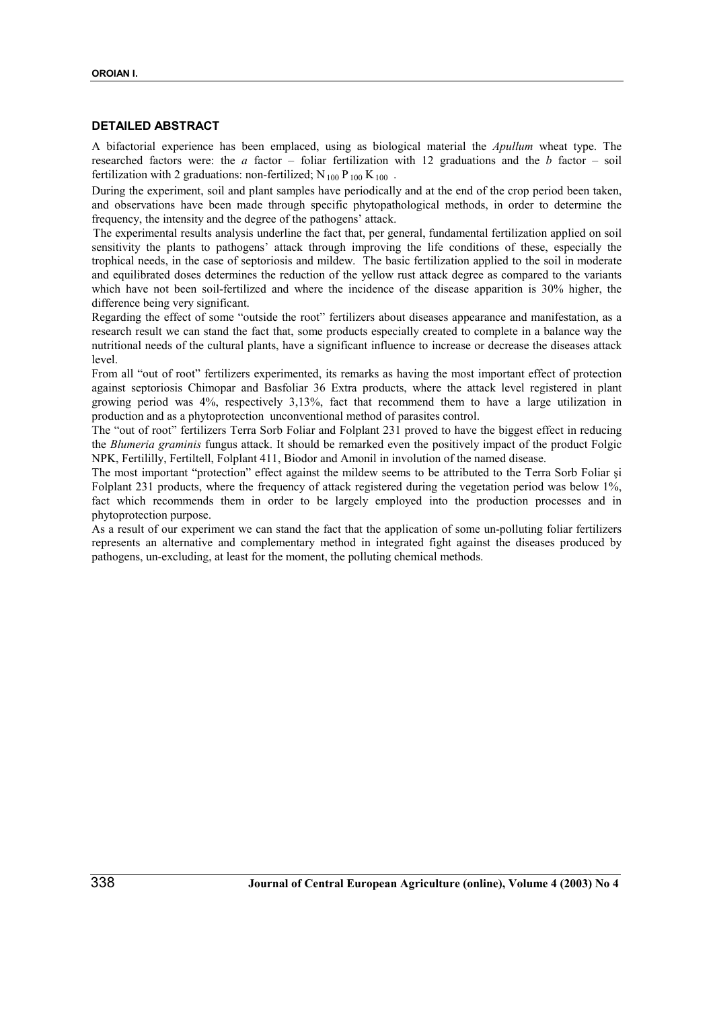# **DETAILED ABSTRACT**

A bifactorial experience has been emplaced, using as biological material the *Apullum* wheat type. The researched factors were: the *a* factor – foliar fertilization with 12 graduations and the *b* factor – soil fertilization with 2 graduations: non-fertilized;  $N_{100} P_{100} K_{100}$ .

During the experiment, soil and plant samples have periodically and at the end of the crop period been taken, and observations have been made through specific phytopathological methods, in order to determine the frequency, the intensity and the degree of the pathogens' attack.

The experimental results analysis underline the fact that, per general, fundamental fertilization applied on soil sensitivity the plants to pathogens' attack through improving the life conditions of these, especially the trophical needs, in the case of septoriosis and mildew. The basic fertilization applied to the soil in moderate and equilibrated doses determines the reduction of the yellow rust attack degree as compared to the variants which have not been soil-fertilized and where the incidence of the disease apparition is 30% higher, the difference being very significant.

Regarding the effect of some "outside the root" fertilizers about diseases appearance and manifestation, as a research result we can stand the fact that, some products especially created to complete in a balance way the nutritional needs of the cultural plants, have a significant influence to increase or decrease the diseases attack level.

From all "out of root" fertilizers experimented, its remarks as having the most important effect of protection against septoriosis Chimopar and Basfoliar 36 Extra products, where the attack level registered in plant growing period was 4%, respectively 3,13%, fact that recommend them to have a large utilization in production and as a phytoprotection unconventional method of parasites control.

The "out of root" fertilizers Terra Sorb Foliar and Folplant 231 proved to have the biggest effect in reducing the *Blumeria graminis* fungus attack. It should be remarked even the positively impact of the product Folgic NPK, Fertililly, Fertiltell, Folplant 411, Biodor and Amonil in involution of the named disease.

The most important "protection" effect against the mildew seems to be attributed to the Terra Sorb Foliar şi Folplant 231 products, where the frequency of attack registered during the vegetation period was below 1%, fact which recommends them in order to be largely employed into the production processes and in phytoprotection purpose.

As a result of our experiment we can stand the fact that the application of some un-polluting foliar fertilizers represents an alternative and complementary method in integrated fight against the diseases produced by pathogens, un-excluding, at least for the moment, the polluting chemical methods.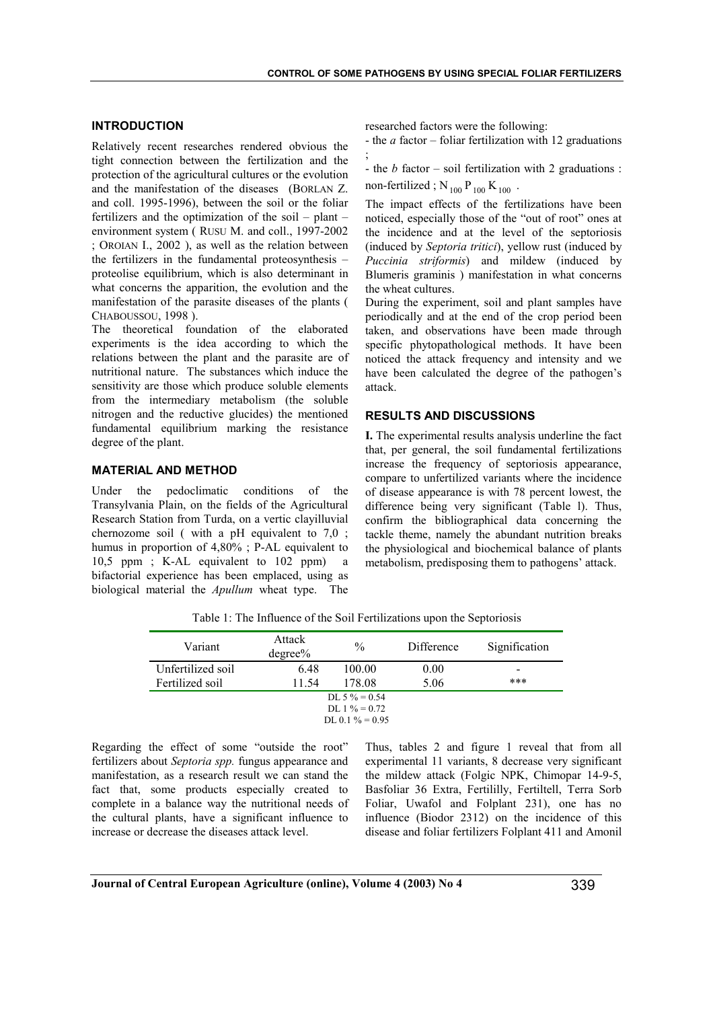# **INTRODUCTION**

Relatively recent researches rendered obvious the tight connection between the fertilization and the protection of the agricultural cultures or the evolution and the manifestation of the diseases (BORLAN Z. and coll. 1995-1996), between the soil or the foliar fertilizers and the optimization of the soil – plant – environment system ( RUSU M. and coll., 1997-2002 ; OROIAN I., 2002 ), as well as the relation between the fertilizers in the fundamental proteosynthesis – proteolise equilibrium, which is also determinant in what concerns the apparition, the evolution and the manifestation of the parasite diseases of the plants ( CHABOUSSOU, 1998 ).

The theoretical foundation of the elaborated experiments is the idea according to which the relations between the plant and the parasite are of nutritional nature. The substances which induce the sensitivity are those which produce soluble elements from the intermediary metabolism (the soluble nitrogen and the reductive glucides) the mentioned fundamental equilibrium marking the resistance degree of the plant.

#### **MATERIAL AND METHOD**

Under the pedoclimatic conditions of the Transylvania Plain, on the fields of the Agricultural Research Station from Turda, on a vertic clayilluvial chernozome soil ( with a pH equivalent to 7,0 ; humus in proportion of 4,80% ; P-AL equivalent to 10,5 ppm ; K-AL equivalent to 102 ppm) a bifactorial experience has been emplaced, using as biological material the *Apullum* wheat type. The researched factors were the following:

- the *a* factor – foliar fertilization with 12 graduations ;

- the *b* factor – soil fertilization with 2 graduations :

non-fertilized ;  $N_{100} P_{100} K_{100}$ .

The impact effects of the fertilizations have been noticed, especially those of the "out of root" ones at the incidence and at the level of the septoriosis (induced by *Septoria tritici*), yellow rust (induced by *Puccinia striformis*) and mildew (induced by Blumeris graminis ) manifestation in what concerns the wheat cultures.

During the experiment, soil and plant samples have periodically and at the end of the crop period been taken, and observations have been made through specific phytopathological methods. It have been noticed the attack frequency and intensity and we have been calculated the degree of the pathogen's attack.

### **RESULTS AND DISCUSSIONS**

**I.** The experimental results analysis underline the fact that, per general, the soil fundamental fertilizations increase the frequency of septoriosis appearance, compare to unfertilized variants where the incidence of disease appearance is with 78 percent lowest, the difference being very significant (Table l). Thus, confirm the bibliographical data concerning the tackle theme, namely the abundant nutrition breaks the physiological and biochemical balance of plants metabolism, predisposing them to pathogens' attack.

| Variant           | Attack<br>$degree\%$ | $\%$               | Difference | Signification            |
|-------------------|----------------------|--------------------|------------|--------------------------|
| Unfertilized soil | 6.48                 | 100.00             | 0.00       | $\overline{\phantom{0}}$ |
| Fertilized soil   | 11.54                | 178.08             | 5.06       | ***                      |
|                   |                      | DL 5 $\% = 0.54$   |            |                          |
| DL 1 $\% = 0.72$  |                      |                    |            |                          |
|                   |                      | DL 0 1 $\% = 0.95$ |            |                          |

Table 1: The Influence of the Soil Fertilizations upon the Septoriosis

Regarding the effect of some "outside the root" fertilizers about *Septoria spp.* fungus appearance and manifestation, as a research result we can stand the fact that, some products especially created to complete in a balance way the nutritional needs of the cultural plants, have a significant influence to increase or decrease the diseases attack level.

Thus, tables 2 and figure 1 reveal that from all experimental 11 variants, 8 decrease very significant the mildew attack (Folgic NPK, Chimopar 14-9-5, Basfoliar 36 Extra, Fertililly, Fertiltell, Terra Sorb Foliar, Uwafol and Folplant 231), one has no influence (Biodor 2312) on the incidence of this disease and foliar fertilizers Folplant 411 and Amonil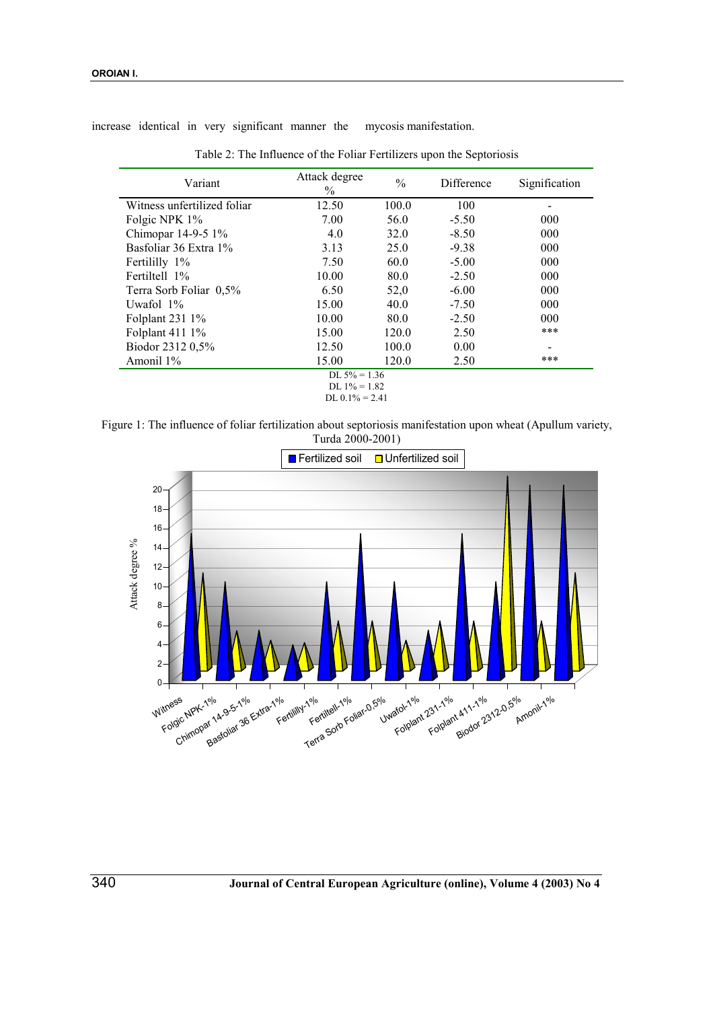increase identical in very significant manner the mycosis manifestation.

| Attack degree<br>Variant<br>$\%$ |       | $\frac{0}{0}$                | Difference | Signification |  |
|----------------------------------|-------|------------------------------|------------|---------------|--|
| Witness unfertilized foliar      | 12.50 | 100.0                        | 100        |               |  |
| Folgic NPK 1%                    | 7.00  | 56.0                         | $-5.50$    | 000           |  |
| Chimopar 14-9-5 1%               | 4.0   | 32.0                         | $-8.50$    | 000           |  |
| Basfoliar 36 Extra 1%            | 3.13  | 25.0                         | $-9.38$    | 000           |  |
| Fertililly 1%                    | 7.50  | 60.0                         | $-5.00$    | 000           |  |
| Fertiltell 1%                    | 10.00 | 80.0                         | $-2.50$    | 000           |  |
| Terra Sorb Foliar 0,5%           | 6.50  | 52,0                         | $-6.00$    | 000           |  |
| Uwafol 1%                        | 15.00 | 40.0                         | $-7.50$    | 000           |  |
| Folplant 231 1%                  | 10.00 | 80.0                         | $-2.50$    | 000           |  |
| Folplant 411 1%                  | 15.00 | 120.0                        | 2.50       | ***           |  |
| Biodor 2312 0,5%                 | 12.50 | 100.0                        | 0.00       |               |  |
| Amonil 1%                        | 15.00 | 120.0                        | 2.50       | ***           |  |
| DL $5\% = 1.36$                  |       |                              |            |               |  |
|                                  |       | $\overline{D}I$ 10/ $-$ 1.92 |            |               |  |

Table 2: The Influence of the Foliar Fertilizers upon the Septoriosis

DL  $1\% = 1.82$ 

DL  $0.1\% = 2.41$ 

Figure 1: The influence of foliar fertilization about septoriosis manifestation upon wheat (Apullum variety, Turda 2000-2001)

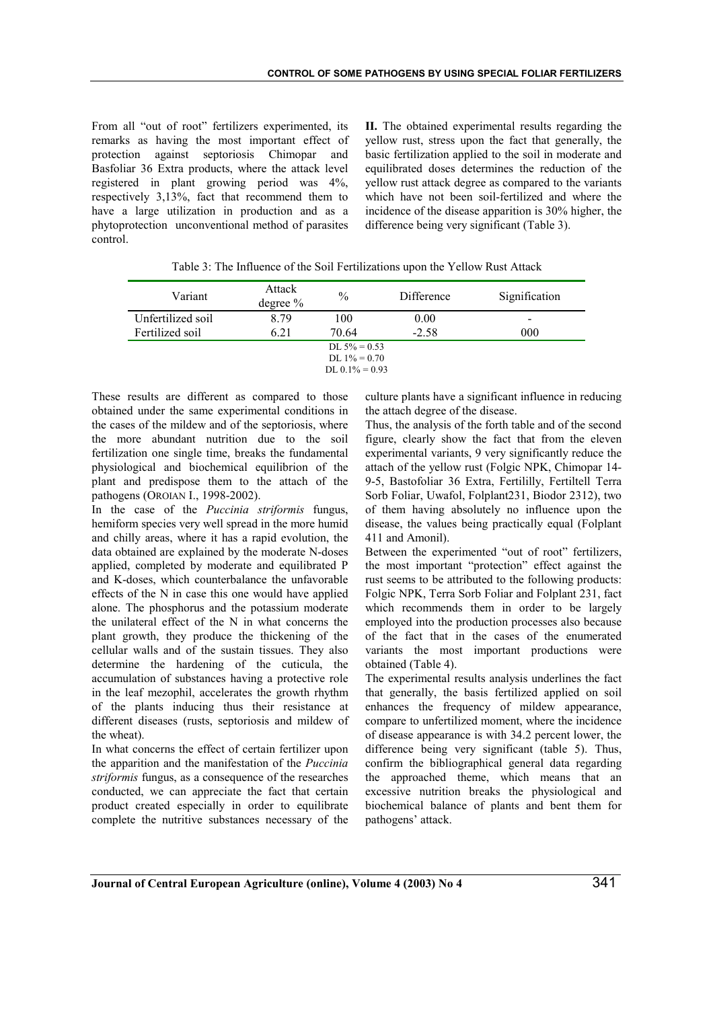From all "out of root" fertilizers experimented, its remarks as having the most important effect of protection against septoriosis Chimopar and Basfoliar 36 Extra products, where the attack level registered in plant growing period was 4%, respectively 3,13%, fact that recommend them to have a large utilization in production and as a phytoprotection unconventional method of parasites control.

**II.** The obtained experimental results regarding the yellow rust, stress upon the fact that generally, the basic fertilization applied to the soil in moderate and equilibrated doses determines the reduction of the yellow rust attack degree as compared to the variants which have not been soil-fertilized and where the incidence of the disease apparition is 30% higher, the difference being very significant (Table 3).

| Variant           | Attack<br>degree $%$ | $\frac{0}{0}$                      | Difference | Signification            |
|-------------------|----------------------|------------------------------------|------------|--------------------------|
| Unfertilized soil | 8.79                 | 100                                | 0.00       | $\overline{\phantom{0}}$ |
| Fertilized soil   | 6.21                 | 70.64                              | $-2.58$    | 000                      |
|                   |                      | DL $5\% = 0.53$<br>DL $1\% = 0.70$ |            |                          |

DL  $0.1\% = 0.93$ 

These results are different as compared to those obtained under the same experimental conditions in the cases of the mildew and of the septoriosis, where the more abundant nutrition due to the soil fertilization one single time, breaks the fundamental physiological and biochemical equilibrion of the plant and predispose them to the attach of the pathogens (OROIAN I., 1998-2002).

In the case of the *Puccinia striformis* fungus, hemiform species very well spread in the more humid and chilly areas, where it has a rapid evolution, the data obtained are explained by the moderate N-doses applied, completed by moderate and equilibrated P and K-doses, which counterbalance the unfavorable effects of the N in case this one would have applied alone. The phosphorus and the potassium moderate the unilateral effect of the N in what concerns the plant growth, they produce the thickening of the cellular walls and of the sustain tissues. They also determine the hardening of the cuticula, the accumulation of substances having a protective role in the leaf mezophil, accelerates the growth rhythm of the plants inducing thus their resistance at different diseases (rusts, septoriosis and mildew of the wheat).

In what concerns the effect of certain fertilizer upon the apparition and the manifestation of the *Puccinia striformis* fungus, as a consequence of the researches conducted, we can appreciate the fact that certain product created especially in order to equilibrate complete the nutritive substances necessary of the culture plants have a significant influence in reducing the attach degree of the disease.

Thus, the analysis of the forth table and of the second figure, clearly show the fact that from the eleven experimental variants, 9 very significantly reduce the attach of the yellow rust (Folgic NPK, Chimopar 14- 9-5, Bastofoliar 36 Extra, Fertililly, Fertiltell Terra Sorb Foliar, Uwafol, Folplant231, Biodor 2312), two of them having absolutely no influence upon the disease, the values being practically equal (Folplant 411 and Amonil).

Between the experimented "out of root" fertilizers, the most important "protection" effect against the rust seems to be attributed to the following products: Folgic NPK, Terra Sorb Foliar and Folplant 231, fact which recommends them in order to be largely employed into the production processes also because of the fact that in the cases of the enumerated variants the most important productions were obtained (Table 4).

The experimental results analysis underlines the fact that generally, the basis fertilized applied on soil enhances the frequency of mildew appearance, compare to unfertilized moment, where the incidence of disease appearance is with 34.2 percent lower, the difference being very significant (table 5). Thus, confirm the bibliographical general data regarding the approached theme, which means that an excessive nutrition breaks the physiological and biochemical balance of plants and bent them for pathogens' attack.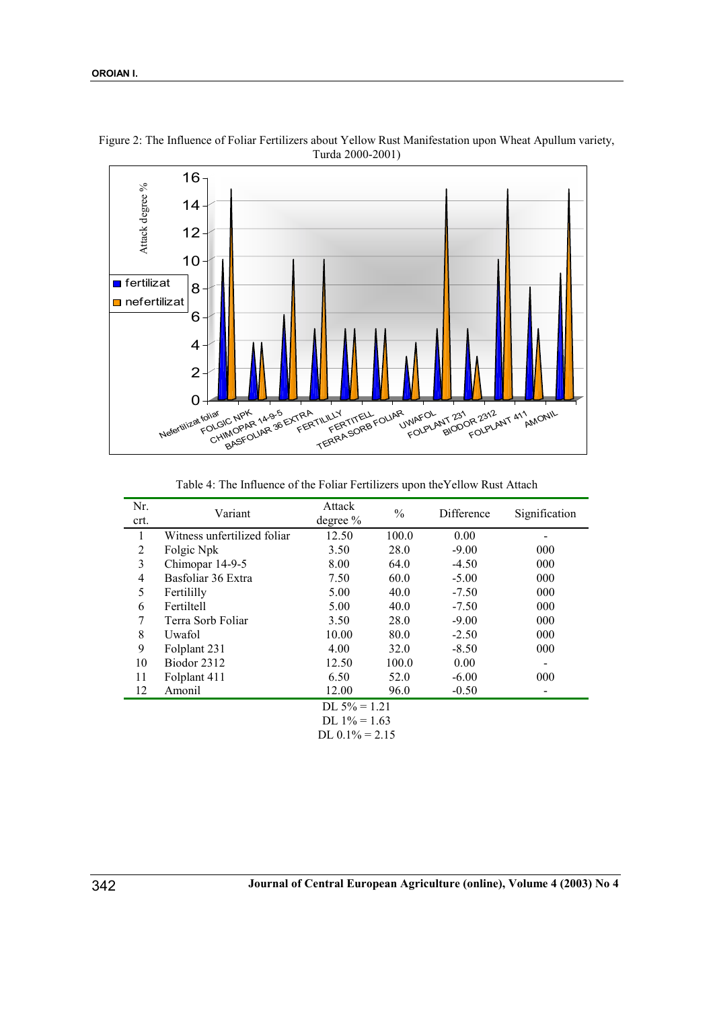

Figure 2: The Influence of Foliar Fertilizers about Yellow Rust Manifestation upon Wheat Apullum variety, Turda 2000-2001)

Table 4: The Influence of the Foliar Fertilizers upon theYellow Rust Attach

| Nr.<br>crt.     | Variant                     | Attack<br>degree $%$ | $\frac{0}{0}$ | Difference | Signification |  |
|-----------------|-----------------------------|----------------------|---------------|------------|---------------|--|
| 1               | Witness unfertilized foliar | 12.50                | 100.0         | 0.00       |               |  |
| 2               | Folgic Npk                  | 3.50                 | 28.0          | $-9.00$    | 000           |  |
| 3               | Chimopar 14-9-5             | 8.00                 | 64.0          | $-4.50$    | 000           |  |
| $\overline{4}$  | Basfoliar 36 Extra          | 7.50                 | 60.0          | $-5.00$    | 000           |  |
| 5               | Fertililly                  | 5.00                 | 40.0          | $-7.50$    | 000           |  |
| 6               | Fertiltell                  | 5.00                 | 40.0          | $-7.50$    | 000           |  |
| 7               | Terra Sorb Foliar           | 3.50                 | 28.0          | $-9.00$    | 000           |  |
| 8               | Uwafol                      | 10.00                | 80.0          | $-2.50$    | 000           |  |
| 9               | Folplant 231                | 4.00                 | 32.0          | $-8.50$    | 000           |  |
| 10              | Biodor 2312                 | 12.50                | 100.0         | 0.00       |               |  |
| 11              | Folplant 411                | 6.50                 | 52.0          | $-6.00$    | 000           |  |
| 12              | Amonil                      | 12.00                | 96.0          | $-0.50$    |               |  |
| DL $5\% = 1.21$ |                             |                      |               |            |               |  |
| DL $1\% = 1.63$ |                             |                      |               |            |               |  |
|                 | DL $0.1\% = 2.15$           |                      |               |            |               |  |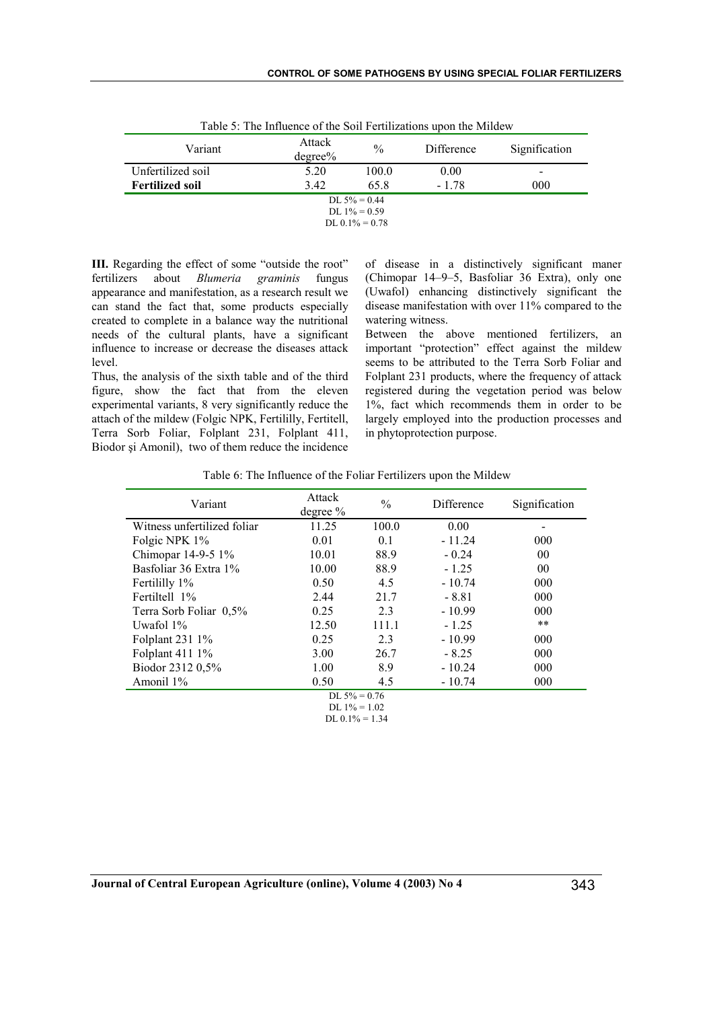| Table 9. The immunite of the Boll I crimizations about the Minue w |                      |               |            |               |  |  |
|--------------------------------------------------------------------|----------------------|---------------|------------|---------------|--|--|
| Variant                                                            | Attack<br>$degree\%$ | $\frac{0}{0}$ | Difference | Signification |  |  |
| Unfertilized soil                                                  | 5.20                 | 100.0         | 0.00       | ۰             |  |  |
| <b>Fertilized soil</b>                                             | 3.42                 | 65.8          | $-1.78$    | 000           |  |  |
| DL $5\% = 0.44$                                                    |                      |               |            |               |  |  |
| DL $1\% = 0.59$                                                    |                      |               |            |               |  |  |
| $DL 0.1\% = 0.78$                                                  |                      |               |            |               |  |  |

Table 5: The Influence of the Soil Fertilizations upon the Mildew

**III.** Regarding the effect of some "outside the root" fertilizers about *Blumeria graminis* fungus appearance and manifestation, as a research result we can stand the fact that, some products especially created to complete in a balance way the nutritional needs of the cultural plants, have a significant influence to increase or decrease the diseases attack level.

Thus, the analysis of the sixth table and of the third figure, show the fact that from the eleven experimental variants, 8 very significantly reduce the attach of the mildew (Folgic NPK, Fertililly, Fertitell, Terra Sorb Foliar, Folplant 231, Folplant 411, Biodor şi Amonil), two of them reduce the incidence of disease in a distinctively significant maner (Chimopar 14–9–5, Basfoliar 36 Extra), only one (Uwafol) enhancing distinctively significant the disease manifestation with over 11% compared to the watering witness.

Between the above mentioned fertilizers, an important "protection" effect against the mildew seems to be attributed to the Terra Sorb Foliar and Folplant 231 products, where the frequency of attack registered during the vegetation period was below 1%, fact which recommends them in order to be largely employed into the production processes and in phytoprotection purpose.

| Table 6: The Influence of the Foliar Fertilizers upon the Mildew |
|------------------------------------------------------------------|
|------------------------------------------------------------------|

| Variant                     | Attack<br>degree $%$                 | $\frac{0}{0}$ | Difference | Signification |  |  |
|-----------------------------|--------------------------------------|---------------|------------|---------------|--|--|
| Witness unfertilized foliar | 11.25                                | 100.0         | 0.00       |               |  |  |
| Folgic NPK 1%               | 0.01                                 | 0.1           | $-11.24$   | 000           |  |  |
| Chimopar 14-9-5 1%          | 10.01                                | 88.9          | $-0.24$    | 00            |  |  |
| Basfoliar 36 Extra 1%       | 10.00                                | 88.9          | $-1.25$    | 00            |  |  |
| Fertililly 1%               | 0.50                                 | 4.5           | $-10.74$   | 000           |  |  |
| Fertiltell 1%               | 2.44                                 | 21.7          | $-8.81$    | 000           |  |  |
| Terra Sorb Foliar 0,5%      | 0.25                                 | 2.3           | $-10.99$   | 000           |  |  |
| Uwafol $1\%$                | 12.50                                | 111.1         | $-1.25$    | $***$         |  |  |
| Folplant 231 1%             | 0.25                                 | 2.3           | $-10.99$   | 000           |  |  |
| Folplant 411 1%             | 3.00                                 | 26.7          | $-8.25$    | 000           |  |  |
| Biodor 2312 0,5%            | 1.00                                 | 8.9           | $-10.24$   | 000           |  |  |
| Amonil 1%                   | 0.50                                 | 4.5           | $-10.74$   | 000           |  |  |
| DL $5\% = 0.76$             |                                      |               |            |               |  |  |
|                             |                                      |               |            |               |  |  |
|                             | DL $1\% = 1.02$<br>DL $0.1\% = 1.34$ |               |            |               |  |  |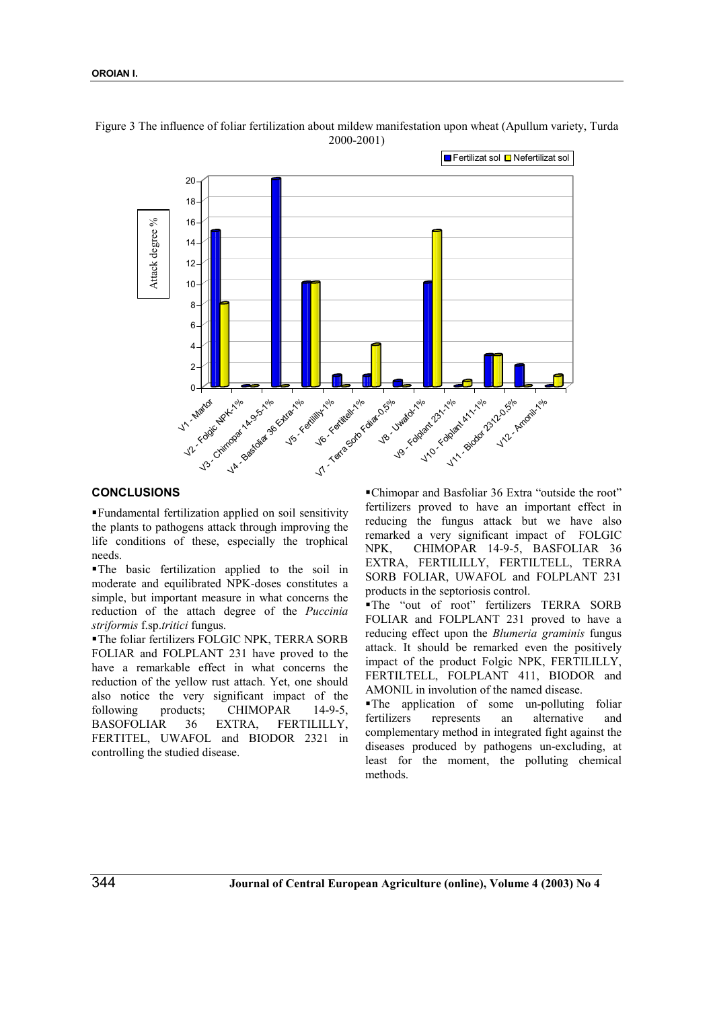

Figure 3 The influence of foliar fertilization about mildew manifestation upon wheat (Apullum variety, Turda 2000-2001)

# **CONCLUSIONS**

 Fundamental fertilization applied on soil sensitivity the plants to pathogens attack through improving the life conditions of these, especially the trophical needs.

 The basic fertilization applied to the soil in moderate and equilibrated NPK-doses constitutes a simple, but important measure in what concerns the reduction of the attach degree of the *Puccinia striformis* f.sp.*tritici* fungus.

 The foliar fertilizers FOLGIC NPK, TERRA SORB FOLIAR and FOLPLANT 231 have proved to the have a remarkable effect in what concerns the reduction of the yellow rust attach. Yet, one should also notice the very significant impact of the following products; CHIMOPAR 14-9-5, BASOFOLIAR 36 EXTRA, FERTILILLY, FERTITEL, UWAFOL and BIODOR 2321 in controlling the studied disease.

 Chimopar and Basfoliar 36 Extra "outside the root" fertilizers proved to have an important effect in reducing the fungus attack but we have also remarked a very significant impact of FOLGIC NPK, CHIMOPAR 14-9-5, BASFOLIAR 36 EXTRA, FERTILILLY, FERTILTELL, TERRA SORB FOLIAR, UWAFOL and FOLPLANT 231 products in the septoriosis control.

 The "out of root" fertilizers TERRA SORB FOLIAR and FOLPLANT 231 proved to have a reducing effect upon the *Blumeria graminis* fungus attack. It should be remarked even the positively impact of the product Folgic NPK, FERTILILLY, FERTILTELL, FOLPLANT 411, BIODOR and AMONIL in involution of the named disease.

 The application of some un-polluting foliar fertilizers represents an alternative and complementary method in integrated fight against the diseases produced by pathogens un-excluding, at least for the moment, the polluting chemical methods.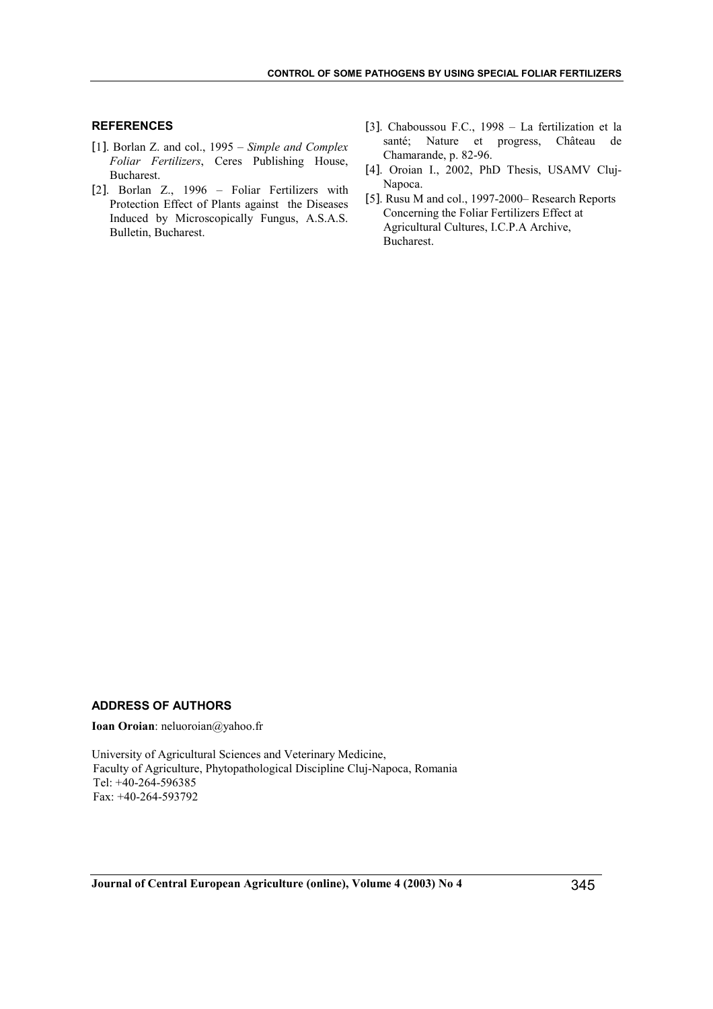# **REFERENCES**

- [1]. Borlan Z. and col., 1995 *Simple and Complex Foliar Fertilizers*, Ceres Publishing House, Bucharest.
- [2]. Borlan Z., 1996 Foliar Fertilizers with Protection Effect of Plants against the Diseases Induced by Microscopically Fungus, A.S.A.S. Bulletin, Bucharest.
- [3]. Chaboussou F.C., 1998 La fertilization et la santé; Nature et progress, Château de Chamarande, p. 82-96.
- [4]. Oroian I., 2002, PhD Thesis, USAMV Cluj-Napoca.
- [5]. Rusu M and col., 1997-2000– Research Reports Concerning the Foliar Fertilizers Effect at Agricultural Cultures, I.C.P.A Archive, Bucharest.

# **ADDRESS OF AUTHORS**

**Ioan Oroian**: neluoroian@yahoo.fr

University of Agricultural Sciences and Veterinary Medicine, Faculty of Agriculture, Phytopathological Discipline Cluj-Napoca, Romania Tel: +40-264-596385 Fax: +40-264-593792

**Journal of Central European Agriculture (online), Volume 4 (2003) No 4** 345